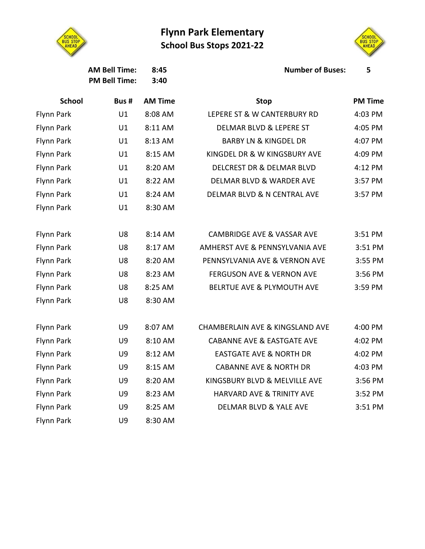## **Flynn Park Elementary School Bus Stops 2021-22**



**PM Bell Time: 3:40**

Flynn Park U9 8:30 AM



**AM Bell Time: 8:45 Number of Buses: 5**

| uses: |  |
|-------|--|
|       |  |
|       |  |

| <b>Buses:</b> |
|---------------|
|---------------|

| Ĺ<br>v<br>v | n |  |  |
|-------------|---|--|--|
|             |   |  |  |

| uses: |  |  |
|-------|--|--|
|       |  |  |

| ٠ | ۰<br>٠ |  |  |  |
|---|--------|--|--|--|
| v |        |  |  |  |

|  | }uses: |  |  |  |
|--|--------|--|--|--|
|  |        |  |  |  |

| <b>School</b> | Bus # | <b>AM Time</b> | <b>Stop</b>                                | <b>PM Time</b> |
|---------------|-------|----------------|--------------------------------------------|----------------|
| Flynn Park    | U1    | 8:08 AM        | LEPERE ST & W CANTERBURY RD                | 4:03 PM        |
| Flynn Park    | U1    | 8:11 AM        | <b>DELMAR BLVD &amp; LEPERE ST</b>         | 4:05 PM        |
| Flynn Park    | U1    | 8:13 AM        | <b>BARBY LN &amp; KINGDEL DR</b>           | 4:07 PM        |
| Flynn Park    | U1    | 8:15 AM        | KINGDEL DR & W KINGSBURY AVE               | 4:09 PM        |
| Flynn Park    | U1    | 8:20 AM        | <b>DELCREST DR &amp; DELMAR BLVD</b>       | 4:12 PM        |
| Flynn Park    | U1    | 8:22 AM        | <b>DELMAR BLVD &amp; WARDER AVE</b>        | 3:57 PM        |
| Flynn Park    | U1    | 8:24 AM        | DELMAR BLVD & N CENTRAL AVE                | 3:57 PM        |
| Flynn Park    | U1    | 8:30 AM        |                                            |                |
|               |       |                |                                            |                |
| Flynn Park    | U8    | 8:14 AM        | <b>CAMBRIDGE AVE &amp; VASSAR AVE</b>      | 3:51 PM        |
| Flynn Park    | U8    | 8:17 AM        | AMHERST AVE & PENNSYLVANIA AVE             | 3:51 PM        |
| Flynn Park    | U8    | 8:20 AM        | PENNSYLVANIA AVE & VERNON AVE              | 3:55 PM        |
| Flynn Park    | U8    | 8:23 AM        | <b>FERGUSON AVE &amp; VERNON AVE</b>       | 3:56 PM        |
| Flynn Park    | U8    | 8:25 AM        | BELRTUE AVE & PLYMOUTH AVE                 | 3:59 PM        |
| Flynn Park    | U8    | 8:30 AM        |                                            |                |
|               |       |                |                                            |                |
| Flynn Park    | U9    | 8:07 AM        | <b>CHAMBERLAIN AVE &amp; KINGSLAND AVE</b> | 4:00 PM        |
| Flynn Park    | U9    | 8:10 AM        | <b>CABANNE AVE &amp; EASTGATE AVE</b>      | 4:02 PM        |
| Flynn Park    | U9    | 8:12 AM        | <b>EASTGATE AVE &amp; NORTH DR</b>         | 4:02 PM        |
| Flynn Park    | U9    | 8:15 AM        | <b>CABANNE AVE &amp; NORTH DR</b>          | 4:03 PM        |
| Flynn Park    | U9    | 8:20 AM        | KINGSBURY BLVD & MELVILLE AVE              | 3:56 PM        |
| Flynn Park    | U9    | 8:23 AM        | HARVARD AVE & TRINITY AVE                  | 3:52 PM        |
| Flynn Park    | U9    | 8:25 AM        | <b>DELMAR BLVD &amp; YALE AVE</b>          | 3:51 PM        |